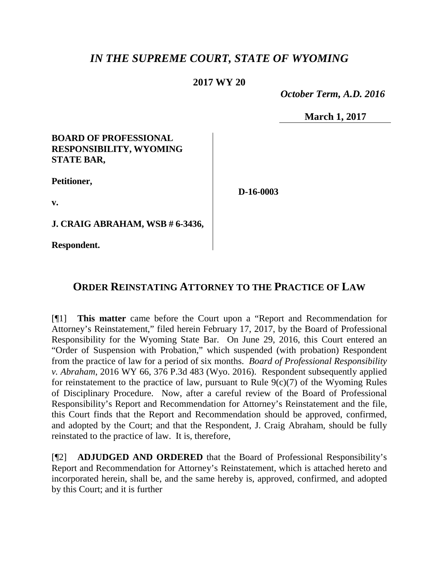# *IN THE SUPREME COURT, STATE OF WYOMING*

### **2017 WY 20**

 *October Term, A.D. 2016*

**March 1, 2017**

### **BOARD OF PROFESSIONAL RESPONSIBILITY, WYOMING STATE BAR,**

**Petitioner,**

**D-16-0003**

**v.**

**J. CRAIG ABRAHAM, WSB # 6-3436,**

**Respondent.**

## **ORDER REINSTATING ATTORNEY TO THE PRACTICE OF LAW**

[¶1] **This matter** came before the Court upon a "Report and Recommendation for Attorney's Reinstatement," filed herein February 17, 2017, by the Board of Professional Responsibility for the Wyoming State Bar. On June 29, 2016, this Court entered an "Order of Suspension with Probation," which suspended (with probation) Respondent from the practice of law for a period of six months. *Board of Professional Responsibility v. Abraham*, 2016 WY 66, 376 P.3d 483 (Wyo. 2016). Respondent subsequently applied for reinstatement to the practice of law, pursuant to Rule  $9(c)(7)$  of the Wyoming Rules of Disciplinary Procedure. Now, after a careful review of the Board of Professional Responsibility's Report and Recommendation for Attorney's Reinstatement and the file, this Court finds that the Report and Recommendation should be approved, confirmed, and adopted by the Court; and that the Respondent, J. Craig Abraham, should be fully reinstated to the practice of law. It is, therefore,

[¶2] **ADJUDGED AND ORDERED** that the Board of Professional Responsibility's Report and Recommendation for Attorney's Reinstatement, which is attached hereto and incorporated herein, shall be, and the same hereby is, approved, confirmed, and adopted by this Court; and it is further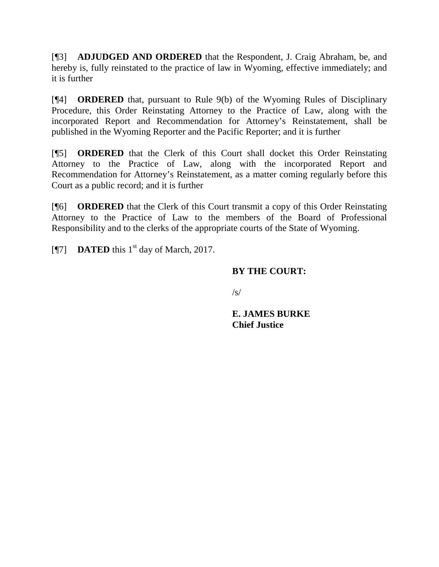[¶3] **ADJUDGED AND ORDERED** that the Respondent, J. Craig Abraham, be, and hereby is, fully reinstated to the practice of law in Wyoming, effective immediately; and it is further

[¶4] **ORDERED** that, pursuant to Rule 9(b) of the Wyoming Rules of Disciplinary Procedure, this Order Reinstating Attorney to the Practice of Law, along with the incorporated Report and Recommendation for Attorney's Reinstatement, shall be published in the Wyoming Reporter and the Pacific Reporter; and it is further

[¶5] **ORDERED** that the Clerk of this Court shall docket this Order Reinstating Attorney to the Practice of Law, along with the incorporated Report and Recommendation for Attorney's Reinstatement, as a matter coming regularly before this Court as a public record; and it is further

[¶6] **ORDERED** that the Clerk of this Court transmit a copy of this Order Reinstating Attorney to the Practice of Law to the members of the Board of Professional Responsibility and to the clerks of the appropriate courts of the State of Wyoming.

[ $[$ ] **DATED** this 1<sup>st</sup> day of March, 2017.

## **BY THE COURT:**

 $\sqrt{s}$ 

**E. JAMES BURKE Chief Justice**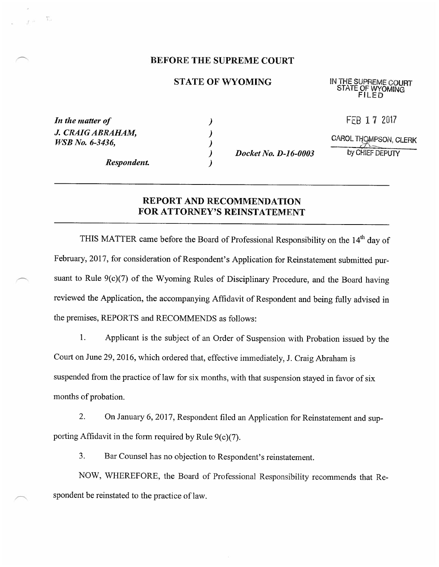### BEFORE THE SUPREME COURT

#### STATE OF WYOMING

IN THE SUPREME COURT STATE OF WYOMING FILED

FEB 1 7 2017

| In the matter of       |  |
|------------------------|--|
| J. CRAIG ABRAHAM,      |  |
| <i>WSB No.</i> 6-3436, |  |

 $\Gamma$ 

Respondent.

 $\big)$  $\lambda$  $\lambda$  $\lambda$ 

 $\lambda$ 

Docket No. D-16-0003

CAROL THOMPSON, CLERK  $\bar{~}$ by CHIEF DEPUTY

REPORT AND RECOMMENDATION FOR ATTORNEY'S REINSTATEMENT

THIS MATTER came before the Board of Professional Responsibility on the 14<sup>th</sup> day of February, 2017, for consideration of Respondent's Application for Reinstatement submitted pursuant to Rule 9(c)(7) of the Wyoming Rules of Disciplinary Procedure, and the Board having reviewed the Application, the accompanying Affidavit of Respondent and being fully advised in the prernises, REPORTS and RECOMMENDS as follows:

1. Applicant is the subject of an Order of Suspension with Probation issued by the Court on June 29, 2016, which ordered that, effective immediately, J. Craig Abraham is suspended from the practice of law for six months, with that suspension stayed in favor of six months of probation.

2. On January 6, 2017, Respondent filed an Application for Reinstatement and supporting Affidavit in the form required by Rule 9(c)(7).

3. Bar Counsel has no objection to Respondent's reinstatement.

NOW, WHEREFORE, the Board of Professional Responsibility recommends that Respondent be reinstated to the practice of law.